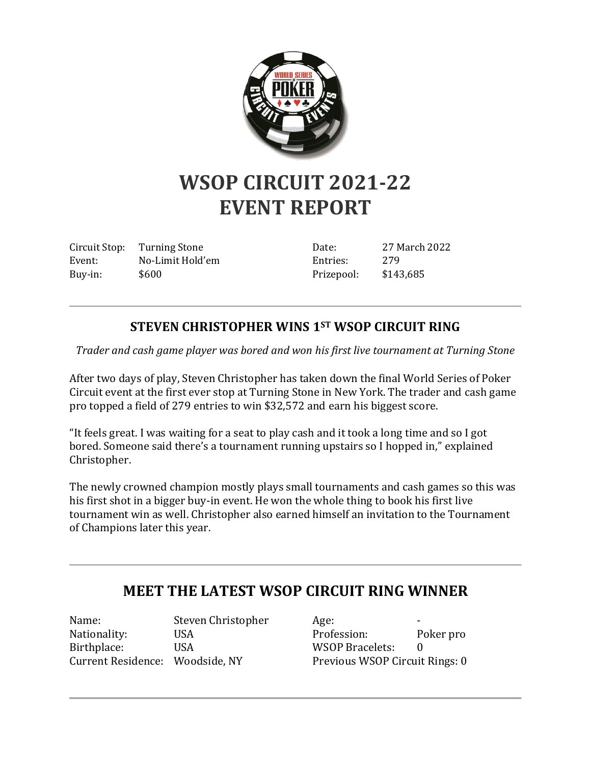

## **WSOP CIRCUIT 2021-22 EVENT REPORT**

Circuit Stop: Turning Stone Event: No-Limit Hold'em Buy-in: \$600

Date: 27 March 2022 Entries: 279 Prizepool: \$143,685

## **STEVEN CHRISTOPHER WINS 1ST WSOP CIRCUIT RING**

*Trader and cash game player was bored and won his first live tournament at Turning Stone*

After two days of play, Steven Christopher has taken down the final World Series of Poker Circuit event at the first ever stop at Turning Stone in New York. The trader and cash game pro topped a field of 279 entries to win \$32,572 and earn his biggest score.

"It feels great. I was waiting for a seat to play cash and it took a long time and so I got bored. Someone said there's a tournament running upstairs so I hopped in," explained Christopher.

The newly crowned champion mostly plays small tournaments and cash games so this was his first shot in a bigger buy-in event. He won the whole thing to book his first live tournament win as well. Christopher also earned himself an invitation to the Tournament of Champions later this year.

## **MEET THE LATEST WSOP CIRCUIT RING WINNER**

Name: Steven Christopher Nationality: USA Birthplace: USA Current Residence: Woodside, NY

Age: Profession: Poker pro WSOP Bracelets: Previous WSOP Circuit Rings: 0